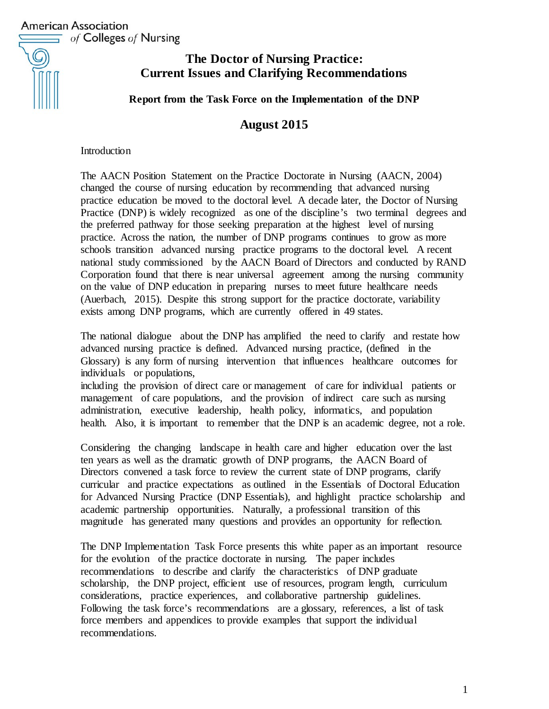

# **The Doctor of Nursing Practice: Current Issues and Clarifying Recommendations**

**Report from the Task Force on the Implementation of the DNP**

# **August 2015**

**Introduction** 

The AACN Position Statement on the Practice Doctorate in Nursing (AACN, 2004) changed the course of nursing education by recommending that advanced nursing practice education be moved to the doctoral level. A decade later, the Doctor of Nursing Practice (DNP) is widely recognized as one of the discipline's two terminal degrees and the preferred pathway for those seeking preparation at the highest level of nursing practice. Across the nation, the number of DNP programs continues to grow as more schools transition advanced nursing practice programs to the doctoral level. A recent national study commissioned by the AACN Board of Directors and conducted by RAND Corporation found that there is near universal agreement among the nursing community on the value of DNP education in preparing nurses to meet future healthcare needs (Auerbach, 2015). Despite this strong support for the practice doctorate, variability exists among DNP programs, which are currently offered in 49 states.

The national dialogue about the DNP has amplified the need to clarify and restate how advanced nursing practice is defined. Advanced nursing practice, (defined in the Glossary) is any form of nursing intervention that influences healthcare outcomes for individuals or populations,

including the provision of direct care or management of care for individual patients or management of care populations, and the provision of indirect care such as nursing administration, executive leadership, health policy, informatics, and population health. Also, it is important to remember that the DNP is an academic degree, not a role.

Considering the changing landscape in health care and higher education over the last ten years as well as the dramatic growth of DNP programs, the AACN Board of Directors convened a task force to review the current state of DNP programs, clarify curricular and practice expectations as outlined in the Essentials of Doctoral Education for Advanced Nursing Practice (DNP Essentials), and highlight practice scholarship and academic partnership opportunities. Naturally, a professional transition of this magnitude has generated many questions and provides an opportunity for reflection.

The DNP Implementation Task Force presents this white paper as an important resource for the evolution of the practice doctorate in nursing. The paper includes recommendations to describe and clarify the characteristics of DNP graduate scholarship, the DNP project, efficient use of resources, program length, curriculum considerations, practice experiences, and collaborative partnership guidelines. Following the task force's recommendations are a glossary, references, a list of task force members and appendices to provide examples that support the individual recommendations.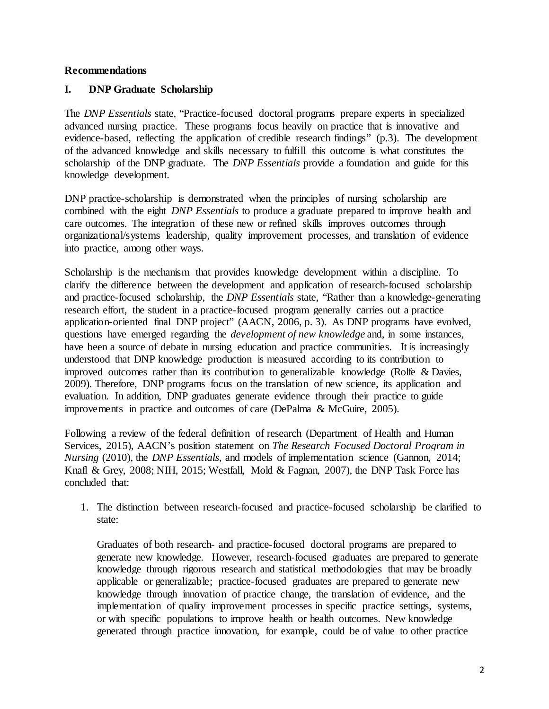#### **Recommendations**

#### **I. DNP Graduate Scholarship**

The *DNP Essentials* state, "Practice-focused doctoral programs prepare experts in specialized advanced nursing practice. These programs focus heavily on practice that is innovative and evidence-based, reflecting the application of credible research findings" (p.3). The development of the advanced knowledge and skills necessary to fulfill this outcome is what constitutes the scholarship of the DNP graduate. The *DNP Essentials* provide a foundation and guide for this knowledge development.

DNP practice-scholarship is demonstrated when the principles of nursing scholarship are combined with the eight *DNP Essentials* to produce a graduate prepared to improve health and care outcomes. The integration of these new or refined skills improves outcomes through organizational/systems leadership, quality improvement processes, and translation of evidence into practice, among other ways.

Scholarship is the mechanism that provides knowledge development within a discipline. To clarify the difference between the development and application of research-focused scholarship and practice-focused scholarship, the *DNP Essentials* state, "Rather than a knowledge-generating research effort, the student in a practice-focused program generally carries out a practice application-oriented final DNP project" (AACN, 2006, p. 3). As DNP programs have evolved, questions have emerged regarding the *development of new knowledge* and, in some instances, have been a source of debate in nursing education and practice communities. It is increasingly understood that DNP knowledge production is measured according to its contribution to improved outcomes rather than its contribution to generalizable knowledge (Rolfe & Davies, 2009). Therefore, DNP programs focus on the translation of new science, its application and evaluation. In addition, DNP graduates generate evidence through their practice to guide improvements in practice and outcomes of care (DePalma & McGuire, 2005).

Following a review of the federal definition of research (Department of Health and Human Services, 2015), AACN's position statement on *The Research Focused Doctoral Program in Nursing* (2010), the *DNP Essentials*, and models of implementation science (Gannon, 2014; Knafl & Grey, 2008; NIH, 2015; Westfall, Mold & Fagnan, 2007), the DNP Task Force has concluded that:

1. The distinction between research-focused and practice-focused scholarship be clarified to state:

Graduates of both research- and practice-focused doctoral programs are prepared to generate new knowledge. However, research-focused graduates are prepared to generate knowledge through rigorous research and statistical methodologies that may be broadly applicable or generalizable; practice-focused graduates are prepared to generate new knowledge through innovation of practice change, the translation of evidence, and the implementation of quality improvement processes in specific practice settings, systems, or with specific populations to improve health or health outcomes. New knowledge generated through practice innovation, for example, could be of value to other practice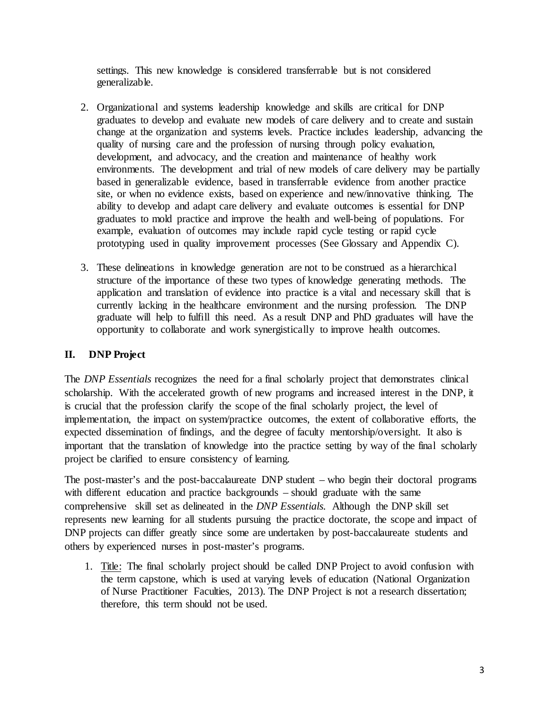settings. This new knowledge is considered transferrable but is not considered generalizable.

- 2. Organizational and systems leadership knowledge and skills are critical for DNP graduates to develop and evaluate new models of care delivery and to create and sustain change at the organization and systems levels. Practice includes leadership, advancing the quality of nursing care and the profession of nursing through policy evaluation, development, and advocacy, and the creation and maintenance of healthy work environments. The development and trial of new models of care delivery may be partially based in generalizable evidence, based in transferrable evidence from another practice site, or when no evidence exists, based on experience and new/innovative thinking. The ability to develop and adapt care delivery and evaluate outcomes is essential for DNP graduates to mold practice and improve the health and well-being of populations. For example, evaluation of outcomes may include rapid cycle testing or rapid cycle prototyping used in quality improvement processes (See Glossary and Appendix C).
- 3. These delineations in knowledge generation are not to be construed as a hierarchical structure of the importance of these two types of knowledge generating methods. The application and translation of evidence into practice is a vital and necessary skill that is currently lacking in the healthcare environment and the nursing profession. The DNP graduate will help to fulfill this need. As a result DNP and PhD graduates will have the opportunity to collaborate and work synergistically to improve health outcomes.

# **II. DNP Project**

The *DNP Essentials* recognizes the need for a final scholarly project that demonstrates clinical scholarship. With the accelerated growth of new programs and increased interest in the DNP, it is crucial that the profession clarify the scope of the final scholarly project, the level of implementation, the impact on system/practice outcomes, the extent of collaborative efforts, the expected dissemination of findings, and the degree of faculty mentorship/oversight. It also is important that the translation of knowledge into the practice setting by way of the final scholarly project be clarified to ensure consistency of learning.

The post-master's and the post-baccalaureate DNP student – who begin their doctoral programs with different education and practice backgrounds – should graduate with the same comprehensive skill set as delineated in the *DNP Essentials.* Although the DNP skill set represents new learning for all students pursuing the practice doctorate, the scope and impact of DNP projects can differ greatly since some are undertaken by post-baccalaureate students and others by experienced nurses in post-master's programs.

1. Title: The final scholarly project should be called DNP Project to avoid confusion with the term capstone, which is used at varying levels of education (National Organization of Nurse Practitioner Faculties, 2013). The DNP Project is not a research dissertation; therefore, this term should not be used.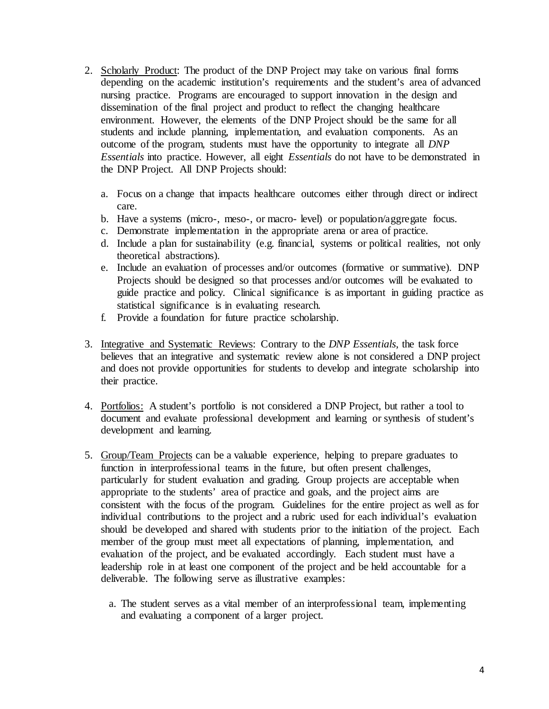- 2. Scholarly Product: The product of the DNP Project may take on various final forms depending on the academic institution's requirements and the student's area of advanced nursing practice. Programs are encouraged to support innovation in the design and dissemination of the final project and product to reflect the changing healthcare environment. However, the elements of the DNP Project should be the same for all students and include planning, implementation, and evaluation components. As an outcome of the program, students must have the opportunity to integrate all *DNP Essentials* into practice. However, all eight *Essentials* do not have to be demonstrated in the DNP Project. All DNP Projects should:
	- a. Focus on a change that impacts healthcare outcomes either through direct or indirect care.
	- b. Have a systems (micro-, meso-, or macro- level) or population/aggregate focus.
	- c. Demonstrate implementation in the appropriate arena or area of practice.
	- d. Include a plan for sustainability (e.g. financial, systems or political realities, not only theoretical abstractions).
	- e. Include an evaluation of processes and/or outcomes (formative or summative). DNP Projects should be designed so that processes and/or outcomes will be evaluated to guide practice and policy. Clinical significance is as important in guiding practice as statistical significance is in evaluating research.
	- f. Provide a foundation for future practice scholarship.
- 3. Integrative and Systematic Reviews: Contrary to the *DNP Essentials*, the task force believes that an integrative and systematic review alone is not considered a DNP project and does not provide opportunities for students to develop and integrate scholarship into their practice.
- 4. Portfolios: A student's portfolio is not considered a DNP Project, but rather a tool to document and evaluate professional development and learning or synthesis of student's development and learning.
- 5. Group/Team Projects can be a valuable experience, helping to prepare graduates to function in interprofessional teams in the future, but often present challenges, particularly for student evaluation and grading. Group projects are acceptable when appropriate to the students' area of practice and goals, and the project aims are consistent with the focus of the program. Guidelines for the entire project as well as for individual contributions to the project and a rubric used for each individual's evaluation should be developed and shared with students prior to the initiation of the project. Each member of the group must meet all expectations of planning, implementation, and evaluation of the project, and be evaluated accordingly. Each student must have a leadership role in at least one component of the project and be held accountable for a deliverable. The following serve as illustrative examples:
	- a. The student serves as a vital member of an interprofessional team, implementing and evaluating a component of a larger project.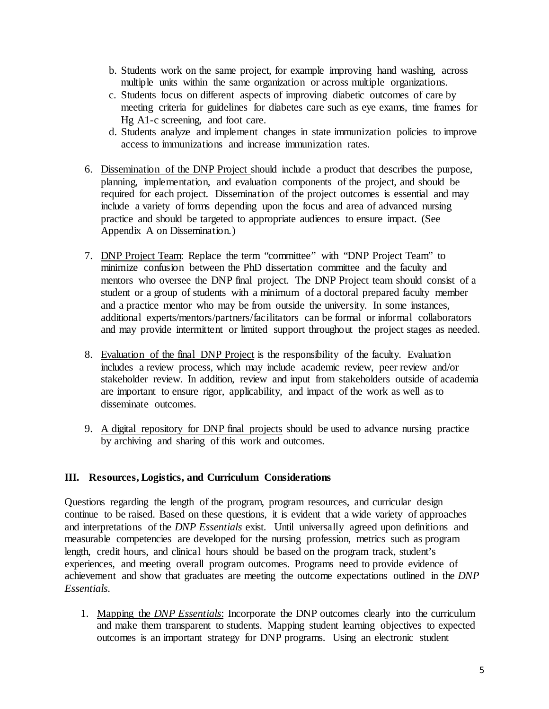- b. Students work on the same project, for example improving hand washing, across multiple units within the same organization or across multiple organizations.
- c. Students focus on different aspects of improving diabetic outcomes of care by meeting criteria for guidelines for diabetes care such as eye exams, time frames for Hg A1-c screening, and foot care.
- d. Students analyze and implement changes in state immunization policies to improve access to immunizations and increase immunization rates.
- 6. Dissemination of the DNP Project should include a product that describes the purpose, planning, implementation, and evaluation components of the project, and should be required for each project. Dissemination of the project outcomes is essential and may include a variety of forms depending upon the focus and area of advanced nursing practice and should be targeted to appropriate audiences to ensure impact. (See Appendix A on Dissemination.)
- 7. DNP Project Team: Replace the term "committee" with "DNP Project Team" to minimize confusion between the PhD dissertation committee and the faculty and mentors who oversee the DNP final project. The DNP Project team should consist of a student or a group of students with a minimum of a doctoral prepared faculty member and a practice mentor who may be from outside the university. In some instances, additional experts/mentors/partners/facilitators can be formal or informal collaborators and may provide intermittent or limited support throughout the project stages as needed.
- 8. Evaluation of the final DNP Project is the responsibility of the faculty. Evaluation includes a review process, which may include academic review, peer review and/or stakeholder review. In addition, review and input from stakeholders outside of academia are important to ensure rigor, applicability, and impact of the work as well as to disseminate outcomes.
- 9. A digital repository for DNP final projects should be used to advance nursing practice by archiving and sharing of this work and outcomes.

# **III. Resources, Logistics, and Curriculum Considerations**

Questions regarding the length of the program, program resources, and curricular design continue to be raised. Based on these questions, it is evident that a wide variety of approaches and interpretations of the *DNP Essentials* exist. Until universally agreed upon definitions and measurable competencies are developed for the nursing profession, metrics such as program length, credit hours, and clinical hours should be based on the program track, student's experiences, and meeting overall program outcomes. Programs need to provide evidence of achievement and show that graduates are meeting the outcome expectations outlined in the *DNP Essentials*.

1. Mapping the *DNP Essentials*: Incorporate the DNP outcomes clearly into the curriculum and make them transparent to students. Mapping student learning objectives to expected outcomes is an important strategy for DNP programs. Using an electronic student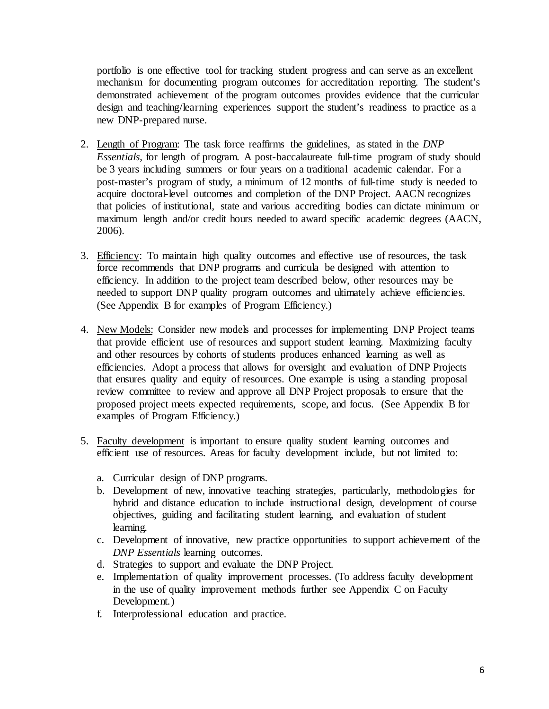portfolio is one effective tool for tracking student progress and can serve as an excellent mechanism for documenting program outcomes for accreditation reporting. The student's demonstrated achievement of the program outcomes provides evidence that the curricular design and teaching/learning experiences support the student's readiness to practice as a new DNP-prepared nurse.

- 2. Length of Program: The task force reaffirms the guidelines, as stated in the *DNP Essentials*, for length of program. A post-baccalaureate full-time program of study should be 3 years including summers or four years on a traditional academic calendar. For a post-master's program of study, a minimum of 12 months of full-time study is needed to acquire doctoral-level outcomes and completion of the DNP Project. AACN recognizes that policies of institutional, state and various accrediting bodies can dictate minimum or maximum length and/or credit hours needed to award specific academic degrees (AACN, 2006).
- 3. Efficiency: To maintain high quality outcomes and effective use of resources, the task force recommends that DNP programs and curricula be designed with attention to efficiency. In addition to the project team described below, other resources may be needed to support DNP quality program outcomes and ultimately achieve efficiencies. (See Appendix B for examples of Program Efficiency.)
- 4. New Models: Consider new models and processes for implementing DNP Project teams that provide efficient use of resources and support student learning. Maximizing faculty and other resources by cohorts of students produces enhanced learning as well as efficiencies. Adopt a process that allows for oversight and evaluation of DNP Projects that ensures quality and equity of resources. One example is using a standing proposal review committee to review and approve all DNP Project proposals to ensure that the proposed project meets expected requirements, scope, and focus. (See Appendix B for examples of Program Efficiency.)
- 5. Faculty development is important to ensure quality student learning outcomes and efficient use of resources. Areas for faculty development include, but not limited to:
	- a. Curricular design of DNP programs.
	- b. Development of new, innovative teaching strategies, particularly, methodologies for hybrid and distance education to include instructional design, development of course objectives, guiding and facilitating student learning, and evaluation of student learning.
	- c. Development of innovative, new practice opportunities to support achievement of the *DNP Essentials* learning outcomes.
	- d. Strategies to support and evaluate the DNP Project.
	- e. Implementation of quality improvement processes. (To address faculty development in the use of quality improvement methods further see Appendix C on Faculty Development.)
	- f. Interprofessional education and practice.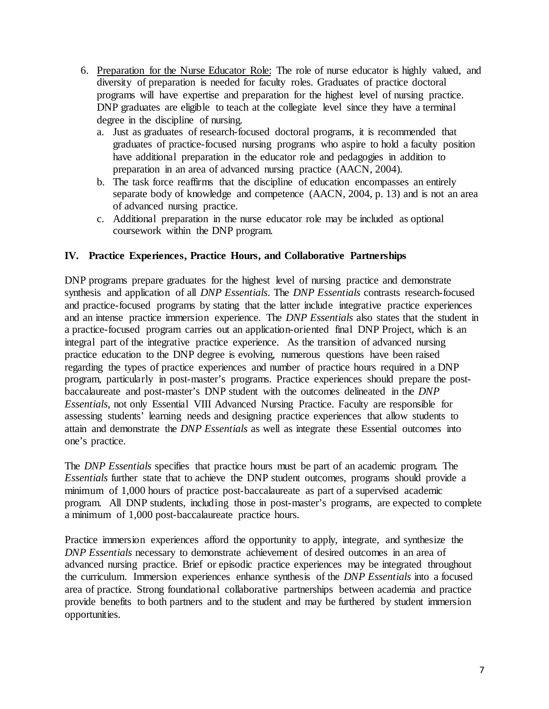- 6. Preparation for the Nurse Educator Role: The role of nurse educator is highly valued, and diversity of preparation is needed for faculty roles. Graduates of practice doctoral programs will have expertise and preparation for the highest level of nursing practice. DNP graduates are eligible to teach at the collegiate level since they have a terminal degree in the discipline of nursing.
	- a. Just as graduates of research-focused doctoral programs, it is recommended that graduates of practice-focused nursing programs who aspire to hold a faculty position have additional preparation in the educator role and pedagogies in addition to preparation in an area of advanced nursing practice (AACN, 2004).
	- b. The task force reaffirms that the discipline of education encompasses an entirely separate body of knowledge and competence (AACN, 2004, p. 13) and is not an area of advanced nursing practice.
	- c. Additional preparation in the nurse educator role may be included as optional coursework within the DNP program.

## **IV. Practice Experiences, Practice Hours, and Collaborative Partnerships**

DNP programs prepare graduates for the highest level of nursing practice and demonstrate synthesis and application of all *DNP Essentials*. The *DNP Essentials* contrasts research-focused and practice-focused programs by stating that the latter include integrative practice experiences and an intense practice immersion experience. The *DNP Essentials* also states that the student in a practice-focused program carries out an application-oriented final DNP Project, which is an integral part of the integrative practice experience. As the transition of advanced nursing practice education to the DNP degree is evolving, numerous questions have been raised regarding the types of practice experiences and number of practice hours required in a DNP program, particularly in post-master's programs. Practice experiences should prepare the postbaccalaureate and post-master's DNP student with the outcomes delineated in the *DNP Essentials*, not only Essential VIII Advanced Nursing Practice. Faculty are responsible for assessing students' learning needs and designing practice experiences that allow students to attain and demonstrate the *DNP Essentials* as well as integrate these Essential outcomes into one's practice.

The *DNP Essentials* specifies that practice hours must be part of an academic program. The *Essentials* further state that to achieve the DNP student outcomes, programs should provide a minimum of 1,000 hours of practice post-baccalaureate as part of a supervised academic program. All DNP students, including those in post-master's programs, are expected to complete a minimum of 1,000 post-baccalaureate practice hours.

Practice immersion experiences afford the opportunity to apply, integrate, and synthesize the *DNP Essentials* necessary to demonstrate achievement of desired outcomes in an area of advanced nursing practice. Brief or episodic practice experiences may be integrated throughout the curriculum. Immersion experiences enhance synthesis of the *DNP Essentials* into a focused area of practice. Strong foundational collaborative partnerships between academia and practice provide benefits to both partners and to the student and may be furthered by student immersion opportunities.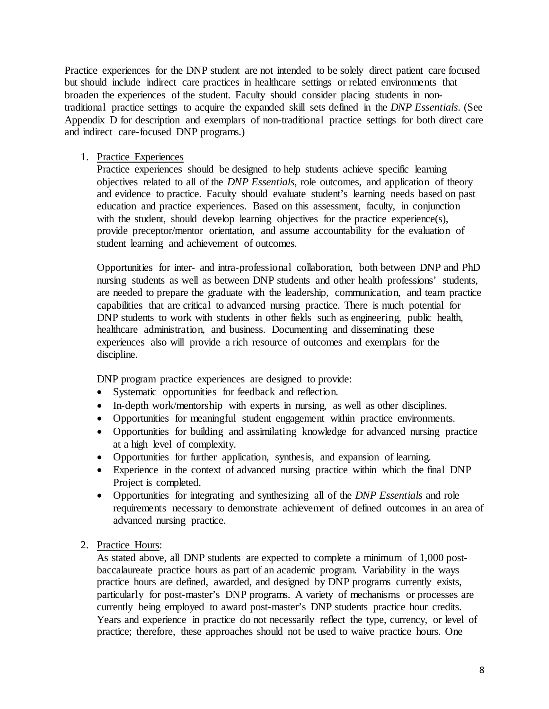Practice experiences for the DNP student are not intended to be solely direct patient care focused but should include indirect care practices in healthcare settings or related environments that broaden the experiences of the student. Faculty should consider placing students in nontraditional practice settings to acquire the expanded skill sets defined in the *DNP Essentials*. (See Appendix D for description and exemplars of non-traditional practice settings for both direct care and indirect care-focused DNP programs.)

1. Practice Experiences

Practice experiences should be designed to help students achieve specific learning objectives related to all of the *DNP Essentials*, role outcomes, and application of theory and evidence to practice. Faculty should evaluate student's learning needs based on past education and practice experiences. Based on this assessment, faculty, in conjunction with the student, should develop learning objectives for the practice experience(s), provide preceptor/mentor orientation, and assume accountability for the evaluation of student learning and achievement of outcomes.

Opportunities for inter- and intra-professional collaboration, both between DNP and PhD nursing students as well as between DNP students and other health professions' students, are needed to prepare the graduate with the leadership, communication, and team practice capabilities that are critical to advanced nursing practice. There is much potential for DNP students to work with students in other fields such as engineering, public health, healthcare administration, and business. Documenting and disseminating these experiences also will provide a rich resource of outcomes and exemplars for the discipline.

DNP program practice experiences are designed to provide:

- Systematic opportunities for feedback and reflection.
- In-depth work/mentorship with experts in nursing, as well as other disciplines.
- Opportunities for meaningful student engagement within practice environments.
- Opportunities for building and assimilating knowledge for advanced nursing practice at a high level of complexity.
- Opportunities for further application, synthesis, and expansion of learning.
- Experience in the context of advanced nursing practice within which the final DNP Project is completed.
- Opportunities for integrating and synthesizing all of the *DNP Essentials* and role requirements necessary to demonstrate achievement of defined outcomes in an area of advanced nursing practice.
- 2. Practice Hours:

As stated above, all DNP students are expected to complete a minimum of 1,000 postbaccalaureate practice hours as part of an academic program. Variability in the ways practice hours are defined, awarded, and designed by DNP programs currently exists, particularly for post-master's DNP programs. A variety of mechanisms or processes are currently being employed to award post-master's DNP students practice hour credits. Years and experience in practice do not necessarily reflect the type, currency, or level of practice; therefore, these approaches should not be used to waive practice hours. One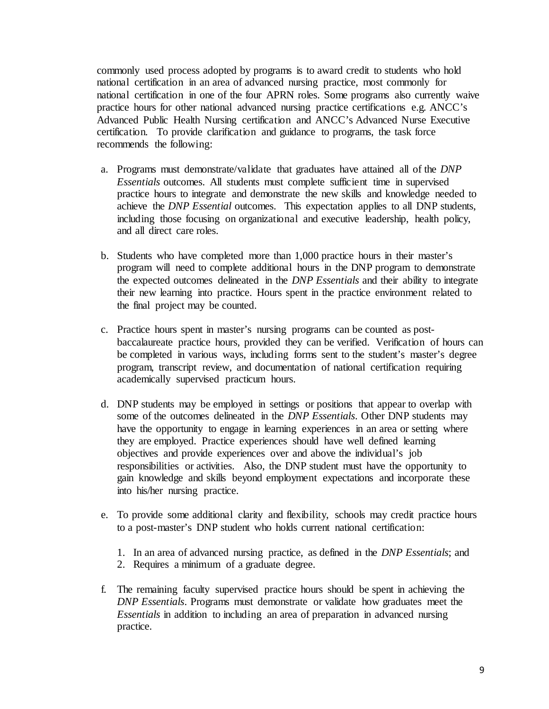commonly used process adopted by programs is to award credit to students who hold national certification in an area of advanced nursing practice, most commonly for national certification in one of the four APRN roles. Some programs also currently waive practice hours for other national advanced nursing practice certifications e.g. ANCC's Advanced Public Health Nursing certification and ANCC's Advanced Nurse Executive certification. To provide clarification and guidance to programs, the task force recommends the following:

- a. Programs must demonstrate/validate that graduates have attained all of the *DNP Essentials* outcomes. All students must complete sufficient time in supervised practice hours to integrate and demonstrate the new skills and knowledge needed to achieve the *DNP Essential* outcomes. This expectation applies to all DNP students, including those focusing on organizational and executive leadership, health policy, and all direct care roles.
- b. Students who have completed more than 1,000 practice hours in their master's program will need to complete additional hours in the DNP program to demonstrate the expected outcomes delineated in the *DNP Essentials* and their ability to integrate their new learning into practice. Hours spent in the practice environment related to the final project may be counted.
- c. Practice hours spent in master's nursing programs can be counted as postbaccalaureate practice hours, provided they can be verified. Verification of hours can be completed in various ways, including forms sent to the student's master's degree program, transcript review, and documentation of national certification requiring academically supervised practicum hours.
- d. DNP students may be employed in settings or positions that appear to overlap with some of the outcomes delineated in the *DNP Essentials*. Other DNP students may have the opportunity to engage in learning experiences in an area or setting where they are employed. Practice experiences should have well defined learning objectives and provide experiences over and above the individual's job responsibilities or activities. Also, the DNP student must have the opportunity to gain knowledge and skills beyond employment expectations and incorporate these into his/her nursing practice.
- e. To provide some additional clarity and flexibility, schools may credit practice hours to a post-master's DNP student who holds current national certification:
	- 1. In an area of advanced nursing practice, as defined in the *DNP Essentials*; and
	- 2. Requires a minimum of a graduate degree.
- f. The remaining faculty supervised practice hours should be spent in achieving the *DNP Essentials*. Programs must demonstrate or validate how graduates meet the *Essentials* in addition to including an area of preparation in advanced nursing practice.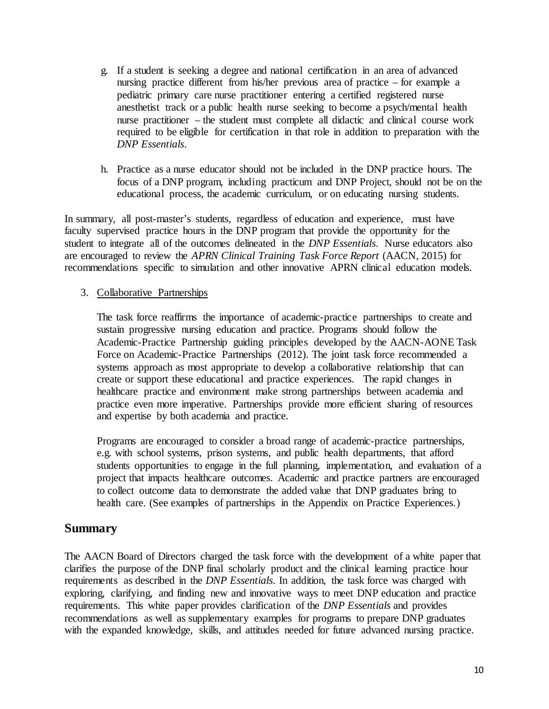- g. If a student is seeking a degree and national certification in an area of advanced nursing practice different from his/her previous area of practice – for example a pediatric primary care nurse practitioner entering a certified registered nurse anesthetist track or a public health nurse seeking to become a psych/mental health nurse practitioner – the student must complete all didactic and clinical course work required to be eligible for certification in that role in addition to preparation with the *DNP Essentials*.
- h. Practice as a nurse educator should not be included in the DNP practice hours. The focus of a DNP program, including practicum and DNP Project, should not be on the educational process, the academic curriculum, or on educating nursing students.

In summary, all post-master's students, regardless of education and experience, must have faculty supervised practice hours in the DNP program that provide the opportunity for the student to integrate all of the outcomes delineated in the *DNP Essentials*. Nurse educators also are encouraged to review the *APRN Clinical Training Task Force Report* (AACN, 2015) for recommendations specific to simulation and other innovative APRN clinical education models.

## 3. Collaborative Partnerships

The task force reaffirms the importance of academic-practice partnerships to create and sustain progressive nursing education and practice. Programs should follow the Academic-Practice Partnership guiding principles developed by the AACN-AONE Task Force on Academic-Practice Partnerships (2012). The joint task force recommended a systems approach as most appropriate to develop a collaborative relationship that can create or support these educational and practice experiences. The rapid changes in healthcare practice and environment make strong partnerships between academia and practice even more imperative. Partnerships provide more efficient sharing of resources and expertise by both academia and practice.

Programs are encouraged to consider a broad range of academic-practice partnerships, e.g. with school systems, prison systems, and public health departments, that afford students opportunities to engage in the full planning, implementation, and evaluation of a project that impacts healthcare outcomes. Academic and practice partners are encouraged to collect outcome data to demonstrate the added value that DNP graduates bring to health care. (See examples of partnerships in the Appendix on Practice Experiences.)

# **Summary**

The AACN Board of Directors charged the task force with the development of a white paper that clarifies the purpose of the DNP final scholarly product and the clinical learning practice hour requirements as described in the *DNP Essentials*. In addition, the task force was charged with exploring, clarifying, and finding new and innovative ways to meet DNP education and practice requirements. This white paper provides clarification of the *DNP Essentials* and provides recommendations as well as supplementary examples for programs to prepare DNP graduates with the expanded knowledge, skills, and attitudes needed for future advanced nursing practice.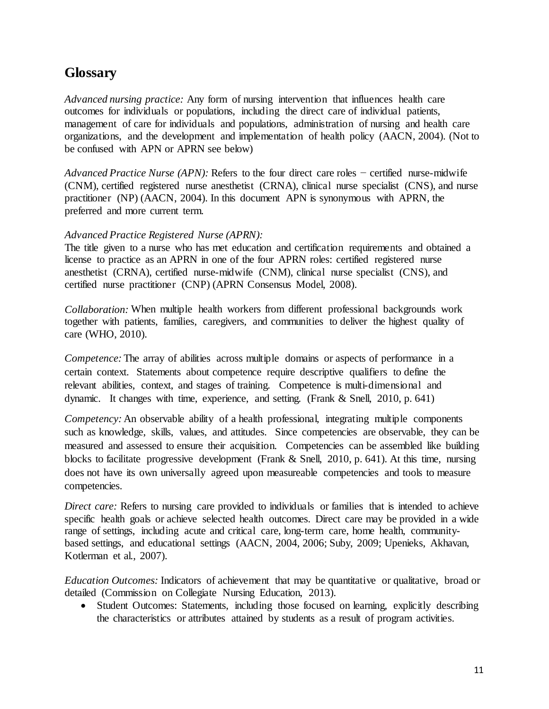# **Glossary**

*Advanced nursing practice:* Any form of nursing intervention that influences health care outcomes for individuals or populations, including the direct care of individual patients, management of care for individuals and populations, administration of nursing and health care organizations, and the development and implementation of health policy (AACN, 2004). (Not to be confused with APN or APRN see below)

*Advanced Practice Nurse (APN):* Refers to the four direct care roles − certified nurse-midwife (CNM), certified registered nurse anesthetist (CRNA), clinical nurse specialist (CNS), and nurse practitioner (NP) (AACN, 2004). In this document APN is synonymous with APRN, the preferred and more current term.

#### *Advanced Practice Registered Nurse (APRN):*

The title given to a nurse who has met education and certification requirements and obtained a license to practice as an APRN in one of the four APRN roles: certified registered nurse anesthetist (CRNA), certified nurse-midwife (CNM), clinical nurse specialist (CNS), and certified nurse practitioner (CNP) (APRN Consensus Model, 2008).

*Collaboration:* When multiple health workers from different professional backgrounds work together with patients, families, caregivers, and communities to deliver the highest quality of care (WHO, 2010).

*Competence:* The array of abilities across multiple domains or aspects of performance in a certain context. Statements about competence require descriptive qualifiers to define the relevant abilities, context, and stages of training. Competence is multi-dimensional and dynamic. It changes with time, experience, and setting. (Frank & Snell, 2010, p. 641)

*Competency:* An observable ability of a health professional, integrating multiple components such as knowledge, skills, values, and attitudes. Since competencies are observable, they can be measured and assessed to ensure their acquisition. Competencies can be assembled like building blocks to facilitate progressive development (Frank & Snell, 2010, p. 641). At this time, nursing does not have its own universally agreed upon measureable competencies and tools to measure competencies.

*Direct care:* Refers to nursing care provided to individuals or families that is intended to achieve specific health goals or achieve selected health outcomes. Direct care may be provided in a wide range of settings, including acute and critical care, long-term care, home health, communitybased settings, and educational settings (AACN, 2004, 2006; Suby, 2009; Upenieks, Akhavan, Kotlerman et al., 2007).

*Education Outcomes:* Indicators of achievement that may be quantitative or qualitative, broad or detailed (Commission on Collegiate Nursing Education, 2013).

• Student Outcomes: Statements, including those focused on learning, explicitly describing the characteristics or attributes attained by students as a result of program activities.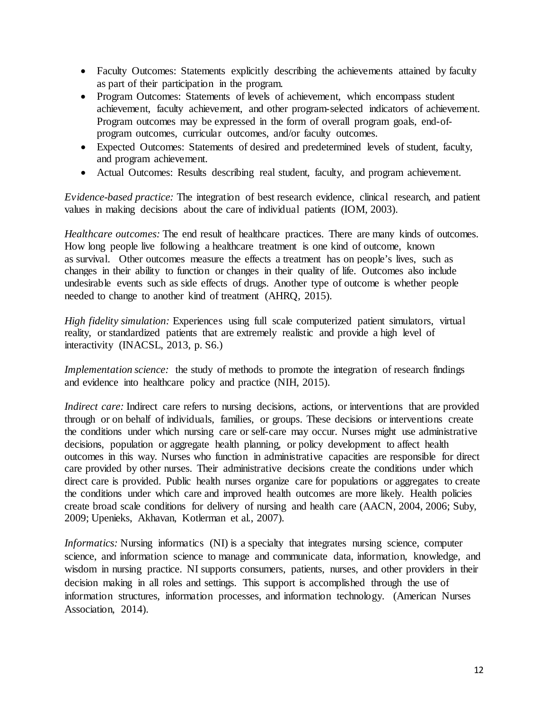- Faculty Outcomes: Statements explicitly describing the achievements attained by faculty as part of their participation in the program.
- Program Outcomes: Statements of levels of achievement, which encompass student achievement, faculty achievement, and other program-selected indicators of achievement. Program outcomes may be expressed in the form of overall program goals, end-ofprogram outcomes, curricular outcomes, and/or faculty outcomes.
- Expected Outcomes: Statements of desired and predetermined levels of student, faculty, and program achievement.
- Actual Outcomes: Results describing real student, faculty, and program achievement.

*Evidence-based practice:* The integration of best research evidence, clinical research, and patient values in making decisions about the care of individual patients (IOM, 2003).

*Healthcare outcomes:* The end result of healthcare practices. There are many kinds of outcomes. How long people live following a healthcare treatment is one kind of outcome, known as survival. Other outcomes measure the effects a treatment has on people's lives, such as changes in their ability to function or changes in their quality of life. Outcomes also include undesirable events such as side effects of drugs. Another type of outcome is whether people needed to change to another kind of treatment (AHRQ, 2015).

*High fidelity simulation:* Experiences using full scale computerized patient simulators, virtual reality, or standardized patients that are extremely realistic and provide a high level of interactivity (INACSL, 2013, p. S6.)

*Implementation science:* the study of methods to promote the integration of research findings and evidence into healthcare policy and practice (NIH, 2015).

*Indirect care:* Indirect care refers to nursing decisions, actions, or interventions that are provided through or on behalf of individuals, families, or groups. These decisions or interventions create the conditions under which nursing care or self-care may occur. Nurses might use administrative decisions, population or aggregate health planning, or policy development to affect health outcomes in this way. Nurses who function in administrative capacities are responsible for direct care provided by other nurses. Their administrative decisions create the conditions under which direct care is provided. Public health nurses organize care for populations or aggregates to create the conditions under which care and improved health outcomes are more likely. Health policies create broad scale conditions for delivery of nursing and health care (AACN, 2004, 2006; Suby, 2009; Upenieks, Akhavan, Kotlerman et al., 2007).

*Informatics:* Nursing informatics (NI) is a specialty that integrates nursing science, computer science, and information science to manage and communicate data, information, knowledge, and wisdom in nursing practice. NI supports consumers, patients, nurses, and other providers in their decision making in all roles and settings. This support is accomplished through the use of information structures, information processes, and information technology. (American Nurses Association, 2014).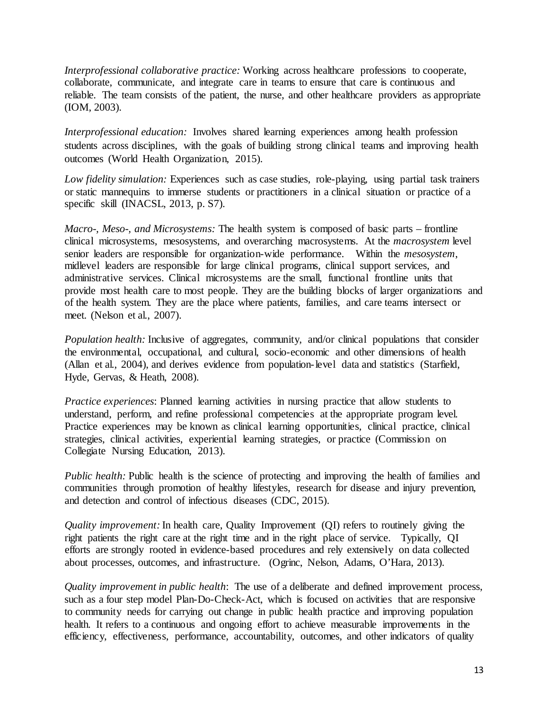*Interprofessional collaborative practice:* Working across healthcare professions to cooperate, collaborate, communicate, and integrate care in teams to ensure that care is continuous and reliable. The team consists of the patient, the nurse, and other healthcare providers as appropriate (IOM, 2003).

*Interprofessional education:* Involves shared learning experiences among health profession students across disciplines, with the goals of building strong clinical teams and improving health outcomes (World Health Organization, 2015).

*Low fidelity simulation:* Experiences such as case studies, role-playing, using partial task trainers or static mannequins to immerse students or practitioners in a clinical situation or practice of a specific skill (INACSL, 2013, p. S7).

*Macro-, Meso-, and Microsystems:* The health system is composed of basic parts – frontline clinical microsystems, mesosystems, and overarching macrosystems. At the *macrosystem* level senior leaders are responsible for organization-wide performance. Within the *mesosystem*, midlevel leaders are responsible for large clinical programs, clinical support services, and administrative services. Clinical microsystems are the small, functional frontline units that provide most health care to most people. They are the building blocks of larger organizations and of the health system. They are the place where patients, families, and care teams intersect or meet. (Nelson et al., 2007).

*Population health:* Inclusive of aggregates, community, and/or clinical populations that consider the environmental, occupational, and cultural, socio-economic and other dimensions of health (Allan et al., 2004), and derives evidence from population-level data and statistics (Starfield, Hyde, Gervas, & Heath, 2008).

*Practice experiences*: Planned learning activities in nursing practice that allow students to understand, perform, and refine professional competencies at the appropriate program level. Practice experiences may be known as clinical learning opportunities, clinical practice, clinical strategies, clinical activities, experiential learning strategies, or practice (Commission on Collegiate Nursing Education, 2013).

*Public health:* Public health is the science of protecting and improving the health of families and communities through promotion of healthy lifestyles, research for disease and injury prevention, and detection and control of infectious diseases (CDC, 2015).

*Quality improvement:* In health care, Quality Improvement (QI) refers to routinely giving the right patients the right care at the right time and in the right place of service. Typically, QI efforts are strongly rooted in evidence-based procedures and rely extensively on data collected about processes, outcomes, and infrastructure. (Ogrinc, Nelson, Adams, O'Hara, 2013).

*Quality improvement in public health*: The use of a deliberate and defined improvement process, such as a four step model Plan-Do-Check-Act, which is focused on activities that are responsive to community needs for carrying out change in public health practice and improving population health. It refers to a continuous and ongoing effort to achieve measurable improvements in the efficiency, effectiveness, performance, accountability, outcomes, and other indicators of quality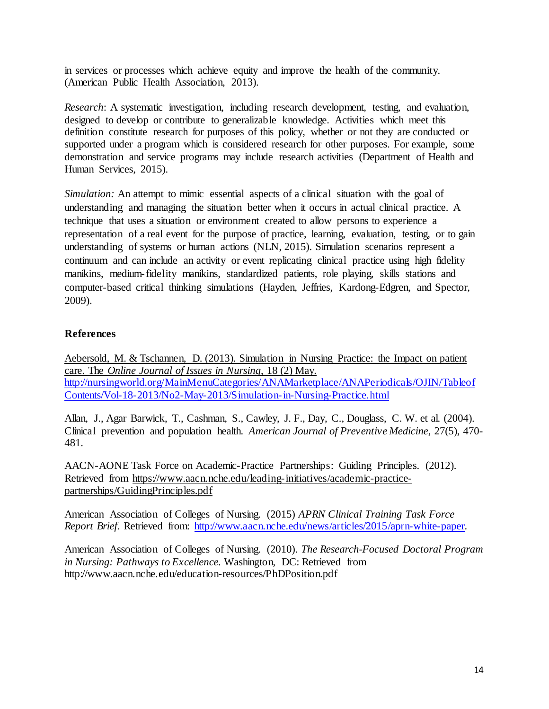in services or processes which achieve equity and improve the health of the community. (American Public Health Association, 2013).

*Research*: A systematic investigation, including research development, testing, and evaluation, designed to develop or contribute to generalizable knowledge. Activities which meet this definition constitute research for purposes of this policy, whether or not they are conducted or supported under a program which is considered research for other purposes. For example, some demonstration and service programs may include research activities (Department of Health and Human Services, 2015).

*Simulation:* An attempt to mimic essential aspects of a clinical situation with the goal of understanding and managing the situation better when it occurs in actual clinical practice. A technique that uses a situation or environment created to allow persons to experience a representation of a real event for the purpose of practice, learning, evaluation, testing, or to gain understanding of systems or human actions (NLN, 2015). Simulation scenarios represent a continuum and can include an activity or event replicating clinical practice using high fidelity manikins, medium-fidelity manikins, standardized patients, role playing, skills stations and computer-based critical thinking simulations (Hayden, Jeffries, Kardong-Edgren, and Spector, 2009).

# **References**

Aebersold, M. & Tschannen, D. (2013). Simulation in Nursing Practice: the Impact on patient care. The *Online Journal of Issues in Nursing*, 18 (2) May. [http://nursingworld.org/MainMenuCategories/ANAMarketplace/ANAPeriodicals/OJIN/Tableof](http://nursingworld.org/MainMenuCategories/ANAMarketplace/ANAPeriodicals/OJIN/TableofContents/Vol-18-2013/No2-May-2013/Simulation-in-Nursing-Practice.html) [Contents/Vol-18-2013/No2-May-2013/Simulation-in-Nursing-Practice.html](http://nursingworld.org/MainMenuCategories/ANAMarketplace/ANAPeriodicals/OJIN/TableofContents/Vol-18-2013/No2-May-2013/Simulation-in-Nursing-Practice.html)

Allan, J., Agar Barwick, T., Cashman, S., Cawley, J. F., Day, C., Douglass, C. W. et al. (2004). Clinical prevention and population health. *American Journal of Preventive Medicine*, 27(5), 470- 481.

AACN-AONE Task Force on Academic-Practice Partnerships: Guiding Principles. (2012). Retrieved from [https://www.aacn.nche.edu/leading-initiatives/academic-practice](https://www.aacn.nche.edu/leading-initiatives/academic-practice-partnerships/GuidingPrinciples.pdf)[partnerships/GuidingPrinciples.pdf](https://www.aacn.nche.edu/leading-initiatives/academic-practice-partnerships/GuidingPrinciples.pdf)

American Association of Colleges of Nursing. (2015) *APRN Clinical Training Task Force Report Brief.* Retrieved from: [http://www.aacn.nche.edu/news/articles/2015/aprn-white-paper.](http://www.aacn.nche.edu/news/articles/2015/aprn-white-paper)

American Association of Colleges of Nursing. (2010). *The Research-Focused Doctoral Program in Nursing: Pathways to Excellence.* Washington, DC: Retrieved from http://www.aacn.nche.edu/education-resources/PhDPosition.pdf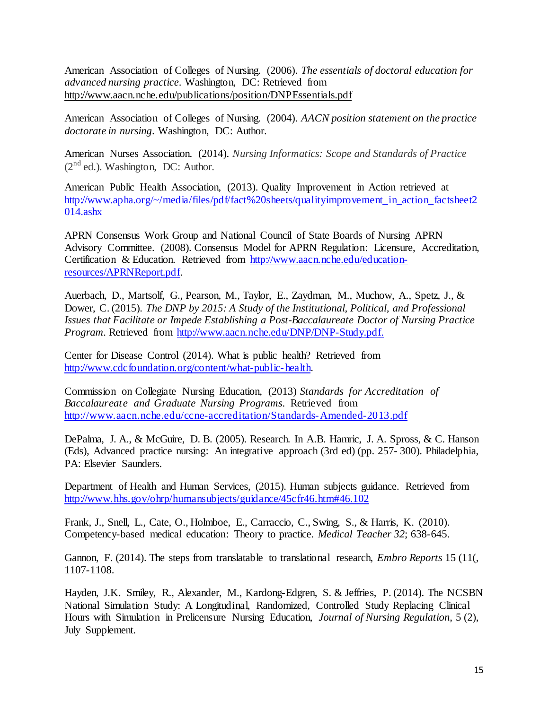American Association of Colleges of Nursing. (2006). *The essentials of doctoral education for advanced nursing practice*. Washington, DC: Retrieved from <http://www.aacn.nche.edu/publications/position/DNPEssentials.pdf>

American Association of Colleges of Nursing. (2004). *AACN position statement on the practice doctorate in nursing*. Washington, DC: Author.

American Nurses Association. (2014). *Nursing Informatics: Scope and Standards of Practice*  $(2<sup>nd</sup>$  ed.). Washington, DC: Author.

American Public Health Association, (2013). Quality Improvement in Action retrieved at [http://www.apha.org/~/media/files/pdf/fact%20sheets/qualityimprovement\\_in\\_action\\_factsheet2](http://www.apha.org/%7E/media/files/pdf/fact%20sheets/qualityimprovement_in_action_factsheet2014.ashx) [014.ashx](http://www.apha.org/%7E/media/files/pdf/fact%20sheets/qualityimprovement_in_action_factsheet2014.ashx)

APRN Consensus Work Group and National Council of State Boards of Nursing APRN Advisory Committee. (2008). Consensus Model for APRN Regulation: Licensure, Accreditation, Certification & Education. Retrieved from [http://www.aacn.nche.edu/education](http://www.aacn.nche.edu/education-resources/APRNReport.pdf)[resources/APRNReport.pdf.](http://www.aacn.nche.edu/education-resources/APRNReport.pdf) 

Auerbach, D., Martsolf, G., Pearson, M., Taylor, E., Zaydman, M., Muchow, A., Spetz, J., & Dower, C. (2015). *The DNP by 2015: A Study of the Institutional, Political, and Professional Issues that Facilitate or Impede Establishing a Post-Baccalaureate Doctor of Nursing Practice Program.* Retrieved from [http://www.aacn.nche.edu/DNP/DNP-Study.pdf.](http://www.aacn.nche.edu/DNP/DNP-Study.pdf)

Center for Disease Control (2014). What is public health? Retrieved from [http://www.cdcfoundation.org/content/what-public-health.](http://www.cdcfoundation.org/content/what-public-health)

Commission on Collegiate Nursing Education, (2013) *[Standards for Accreditation of](http://www.aacn.nche.edu/ccne-accreditation/Standards-Amended-2013.pdf)  [Baccalaureate and Graduate Nursing Programs](http://www.aacn.nche.edu/ccne-accreditation/Standards-Amended-2013.pdf)*. Retrieved from <http://www.aacn.nche.edu/ccne-accreditation/Standards-Amended-2013.pdf>

DePalma, J. A., & McGuire, D. B. (2005). Research. In A.B. Hamric, J. A. Spross, & C. Hanson (Eds), Advanced practice nursing: An integrative approach (3rd ed) (pp. 257- 300). Philadelphia, PA: Elsevier Saunders.

Department of Health and Human Services, (2015). Human subjects guidance. Retrieved from [http://www.hhs.gov/ohrp/humansubjects/guidance/45cfr46.htm#46.102](http://www.hhs.gov/ohrp/humansubjects/guidance/45cfr46.htm%2346.102)

Frank, J., Snell, L., Cate, O., Holmboe, E., Carraccio, C., Swing, S., & Harris, K. (2010). Competency-based medical education: Theory to practice. *Medical Teacher 32*; 638-645.

Gannon, F. (2014). The steps from translatable to translational research, *Embro Reports* 15 (11(, 1107-1108.

Hayden, J.K. Smiley, R., Alexander, M., Kardong-Edgren, S. & Jeffries, P. (2014). The NCSBN National Simulation Study: A Longitudinal, Randomized, Controlled Study Replacing Clinical Hours with Simulation in Prelicensure Nursing Education, *Journal of Nursing Regulation*, 5 (2), July Supplement.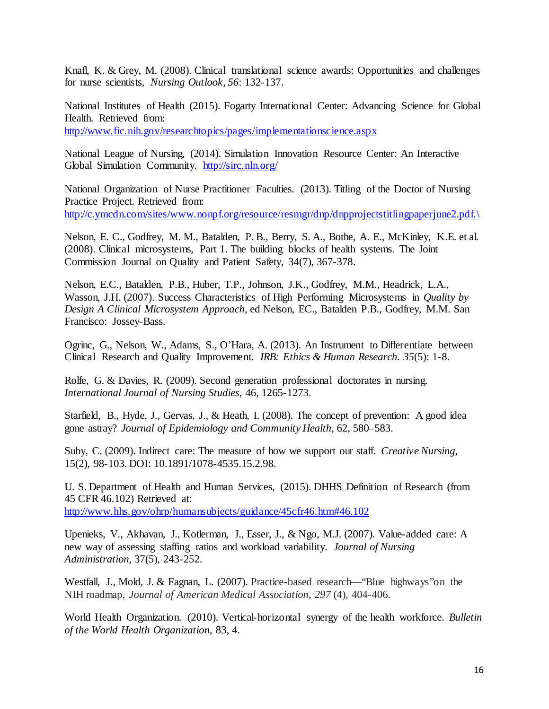Knafl, K. & Grey, M. (2008). Clinical translational science awards: Opportunities and challenges for nurse scientists, *Nursing Outlook, 56*: 132-137.

National Institutes of Health (2015). Fogarty International Center: Advancing Science for Global Health. Retrieved from: <http://www.fic.nih.gov/researchtopics/pages/implementationscience.aspx>

National League of Nursing, (2014). Simulation Innovation Resource Center: An Interactive Global Simulation Community. <http://sirc.nln.org/>

National Organization of Nurse Practitioner Faculties. (2013). Titling of the Doctor of Nursing Practice Project. Retrieved from: [http://c.ymcdn.com/sites/www.nonpf.org/resource/resmgr/dnp/dnpprojectstitlingpaperjune2.pdf.\](http://c.ymcdn.com/sites/www.nonpf.org/resource/resmgr/dnp/dnpprojectstitlingpaperjune2.pdf./)

Nelson, E. C., Godfrey, M. M., Batalden, P. B., Berry, S. A., Bothe, A. E., McKinley, K.E. et al. (2008). Clinical microsystems, Part 1. The building blocks of health systems. The Joint Commission Journal on Quality and Patient Safety, 34(7), 367-378.

Nelson, E.C., Batalden, P.B., Huber, T.P., Johnson, J.K., Godfrey, M.M., Headrick, L.A., Wasson, J.H. (2007). Success Characteristics of High Performing Microsystems in *Quality by Design A Clinical Microsystem Approach*, ed Nelson, EC., Batalden P.B., Godfrey, M.M. San Francisco: Jossey-Bass.

Ogrinc, G., Nelson, W., Adams, S., O'Hara, A. (2013). An Instrument to Differentiate between Clinical Research and Quality Improvement. *IRB: Ethics & Human Research. 35*(5): 1-8.

Rolfe, G. & Davies, R. (2009). Second generation professional doctorates in nursing. *International Journal of Nursing Studies*, 46, 1265-1273.

Starfield, B., Hyde, J., Gervas, J., & Heath, I. (2008). The concept of prevention: A good idea gone astray? *Journal of Epidemiology and Community Health*, 62, 580–583.

Suby, C. (2009). Indirect care: The measure of how we support our staff. *Creative Nursing*, 15(2), 98-103. DOI: 10.1891/1078-4535.15.2.98.

U. S. Department of Health and Human Services, (2015). DHHS Definition of Research (from 45 CFR 46.102) Retrieved at: [http://www.hhs.gov/ohrp/humansubjects/guidance/45cfr46.htm#46.102](http://www.hhs.gov/ohrp/humansubjects/guidance/45cfr46.htm%2346.102)

Upenieks, V., Akhavan, J., Kotlerman, J., Esser, J., & Ngo, M.J. (2007). Value-added care: A new way of assessing staffing ratios and workload variability. *Journal of Nursing Administration*, 37(5), 243-252.

Westfall, J., Mold, J. & Fagnan, L. (2007). Practice-based research—"Blue highways" on the NIH roadmap, *Journal of American Medical Association, 297* (4), 404-406.

World Health Organization. (2010). Vertical-horizontal synergy of the health workforce. *Bulletin of the World Health Organization*, 83, 4.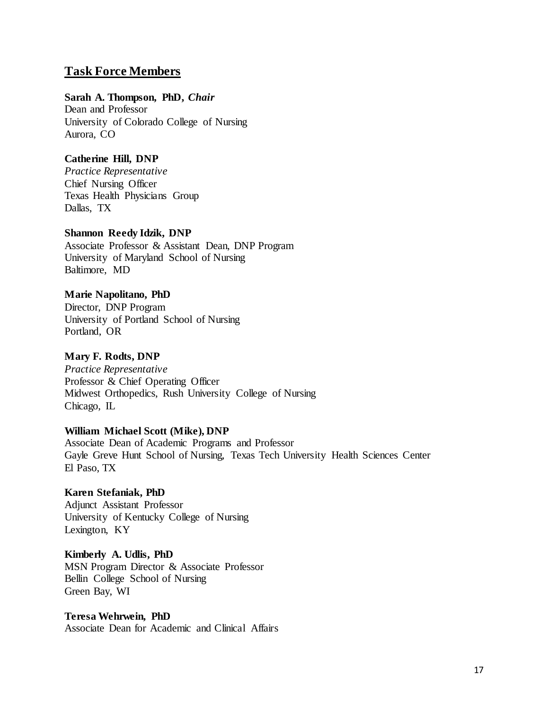# **Task Force Members**

#### **Sarah A. Thompson, PhD,** *Chair*

Dean and Professor University of Colorado College of Nursing Aurora, CO

# **Catherine Hill, DNP**

*Practice Representative* Chief Nursing Officer Texas Health Physicians Group Dallas, TX

## **Shannon Reedy Idzik, DNP**

Associate Professor & Assistant Dean, DNP Program University of Maryland School of Nursing Baltimore, MD

## **Marie Napolitano, PhD**

Director, DNP Program University of Portland School of Nursing Portland, OR

# **Mary F. Rodts, DNP**

*Practice Representative* Professor & Chief Operating Officer Midwest Orthopedics, Rush University College of Nursing Chicago, IL

#### **William Michael Scott (Mike), DNP**

Associate Dean of Academic Programs and Professor Gayle Greve Hunt School of Nursing, Texas Tech University Health Sciences Center El Paso, TX

#### **Karen Stefaniak, PhD** Adjunct Assistant Professor University of Kentucky College of Nursing Lexington, KY

# **Kimberly A. Udlis, PhD** MSN Program Director & Associate Professor Bellin College School of Nursing Green Bay, WI

#### **Teresa Wehrwein, PhD**

Associate Dean for Academic and Clinical Affairs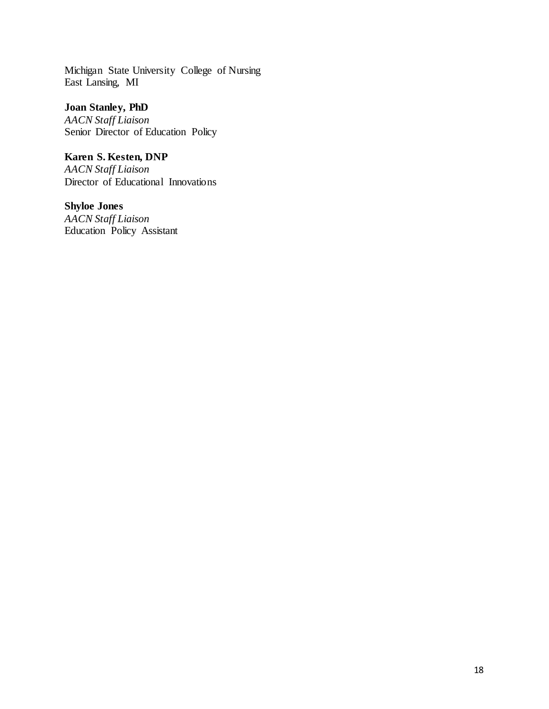Michigan State University College of Nursing East Lansing, MI

**Joan Stanley, PhD**

*AACN Staff Liaison* Senior Director of Education Policy

**Karen S. Kesten, DNP** *AACN Staff Liaison* Director of Educational Innovations

**Shyloe Jones** *AACN Staff Liaison* Education Policy Assistant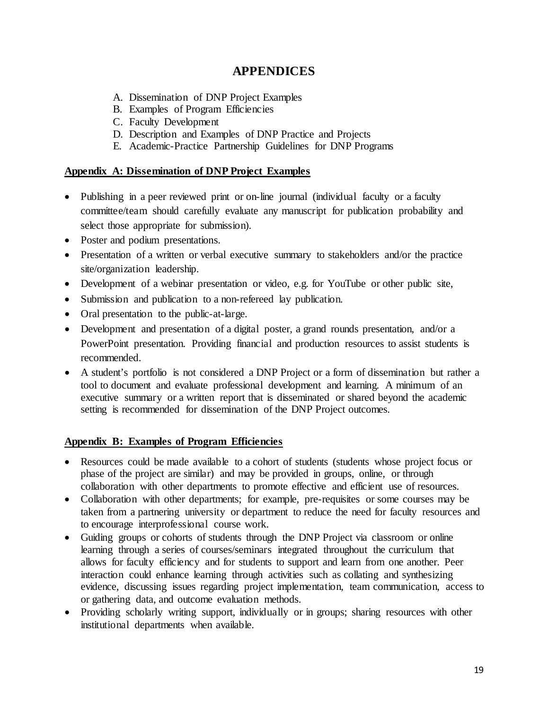# **APPENDICES**

- A. Dissemination of DNP Project Examples
- B. Examples of Program Efficiencies
- C. Faculty Development
- D. Description and Examples of DNP Practice and Projects
- E. Academic-Practice Partnership Guidelines for DNP Programs

#### **Appendix A: Dissemination of DNP Project Examples**

- Publishing in a peer reviewed print or on-line journal (individual faculty or a faculty committee/team should carefully evaluate any manuscript for publication probability and select those appropriate for submission).
- Poster and podium presentations.
- Presentation of a written or verbal executive summary to stakeholders and/or the practice site/organization leadership.
- Development of a webinar presentation or video, e.g. for YouTube or other public site,
- Submission and publication to a non-refereed lay publication.
- Oral presentation to the public-at-large.
- Development and presentation of a digital poster, a grand rounds presentation, and/or a PowerPoint presentation. Providing financial and production resources to assist students is recommended.
- A student's portfolio is not considered a DNP Project or a form of dissemination but rather a tool to document and evaluate professional development and learning. A minimum of an executive summary or a written report that is disseminated or shared beyond the academic setting is recommended for dissemination of the DNP Project outcomes.

#### **Appendix B: Examples of Program Efficiencies**

- Resources could be made available to a cohort of students (students whose project focus or phase of the project are similar) and may be provided in groups, online, or through collaboration with other departments to promote effective and efficient use of resources.
- Collaboration with other departments; for example, pre-requisites or some courses may be taken from a partnering university or department to reduce the need for faculty resources and to encourage interprofessional course work.
- Guiding groups or cohorts of students through the DNP Project via classroom or online learning through a series of courses/seminars integrated throughout the curriculum that allows for faculty efficiency and for students to support and learn from one another. Peer interaction could enhance learning through activities such as collating and synthesizing evidence, discussing issues regarding project implementation, team communication, access to or gathering data, and outcome evaluation methods.
- Providing scholarly writing support, individually or in groups; sharing resources with other institutional departments when available.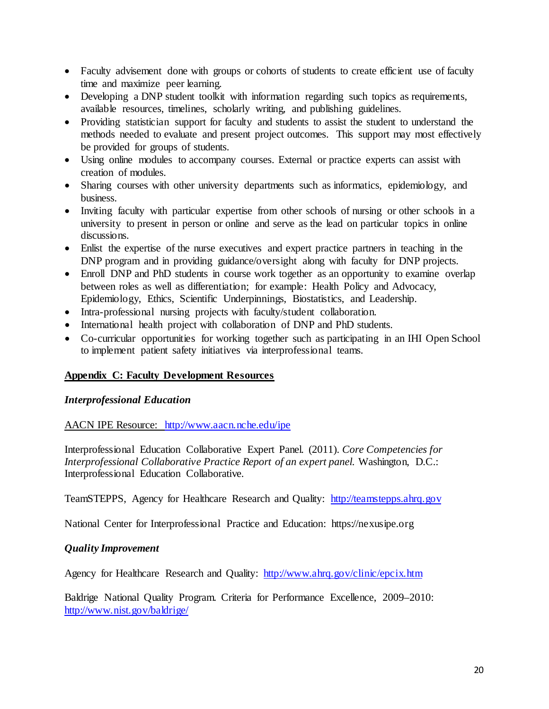- Faculty advisement done with groups or cohorts of students to create efficient use of faculty time and maximize peer learning.
- Developing a DNP student toolkit with information regarding such topics as requirements, available resources, timelines, scholarly writing, and publishing guidelines.
- Providing statistician support for faculty and students to assist the student to understand the methods needed to evaluate and present project outcomes. This support may most effectively be provided for groups of students.
- Using online modules to accompany courses. External or practice experts can assist with creation of modules.
- Sharing courses with other university departments such as informatics, epidemiology, and business.
- Inviting faculty with particular expertise from other schools of nursing or other schools in a university to present in person or online and serve as the lead on particular topics in online discussions.
- Enlist the expertise of the nurse executives and expert practice partners in teaching in the DNP program and in providing guidance/oversight along with faculty for DNP projects.
- Enroll DNP and PhD students in course work together as an opportunity to examine overlap between roles as well as differentiation; for example: Health Policy and Advocacy, Epidemiology, Ethics, Scientific Underpinnings, Biostatistics, and Leadership.
- Intra-professional nursing projects with faculty/student collaboration.
- International health project with collaboration of DNP and PhD students.
- Co-curricular opportunities for working together such as participating in an IHI Open School to implement patient safety initiatives via interprofessional teams.

#### **Appendix C: Faculty Development Resources**

#### *Interprofessional Education*

AACN IPE Resource: <http://www.aacn.nche.edu/ipe>

Interprofessional Education Collaborative Expert Panel. (2011). *Core Competencies for Interprofessional Collaborative Practice Report of an expert panel.* Washington, D.C.: Interprofessional Education Collaborative.

TeamSTEPPS, Agency for Healthcare Research and Quality: [http://teamstepps.ahrq.gov](http://teamstepps.ahrq.gov/)

National Center for Interprofessional Practice and Education: https://nexusipe.org

#### *Quality Improvement*

Agency for Healthcare Research and Quality: <http://www.ahrq.gov/clinic/epcix.htm>

Baldrige National Quality Program. Criteria for Performance Excellence, 2009–2010: <http://www.nist.gov/baldrige/>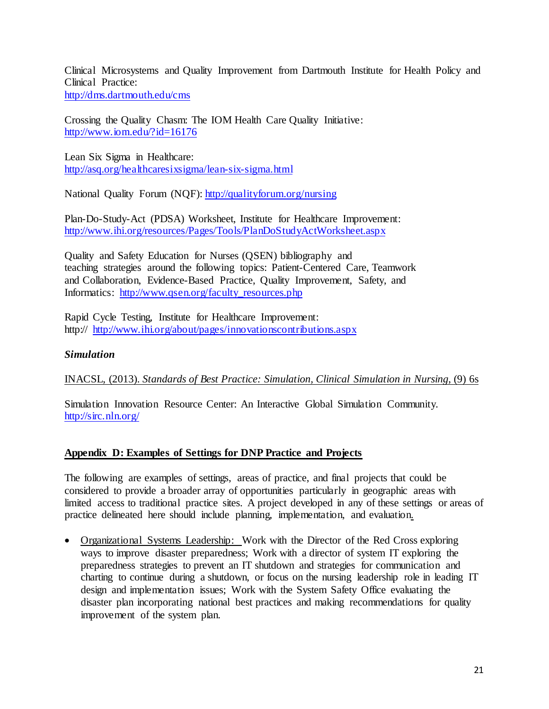Clinical Microsystems and Quality Improvement from Dartmouth Institute for Health Policy and Clinical Practice: <http://dms.dartmouth.edu/cms>

Crossing the Quality Chasm: The IOM Health Care Quality Initiative: <http://www.iom.edu/?id=16176>

Lean Six Sigma in Healthcare: <http://asq.org/healthcaresixsigma/lean-six-sigma.html>

National Quality Forum (NQF)[: http://qualityforum.org/nursing](http://qualityforum.org/nursing)

Plan-Do-Study-Act (PDSA) Worksheet, Institute for Healthcare Improvement: <http://www.ihi.org/resources/Pages/Tools/PlanDoStudyActWorksheet.aspx>

Quality and Safety Education for Nurses (QSEN) bibliography and teaching strategies around the following topics: Patient-Centered Care, Teamwork and Collaboration, Evidence-Based Practice, Quality Improvement, Safety, and Informatics: [http://www.qsen.org/faculty\\_resources.php](http://www.qsen.org/faculty_resources.php)

Rapid Cycle Testing, Institute for Healthcare Improvement: http:// <http://www.ihi.org/about/pages/innovationscontributions.aspx>

# *Simulation*

INACSL, (2013). *Standards of Best Practice: Simulation, Clinical Simulation in Nursing*, (9) 6s

Simulation Innovation Resource Center: An Interactive Global Simulation Community. <http://sirc.nln.org/>

# **Appendix D: Examples of Settings for DNP Practice and Projects**

The following are examples of settings, areas of practice, and final projects that could be considered to provide a broader array of opportunities particularly in geographic areas with limited access to traditional practice sites. A project developed in any of these settings or areas of practice delineated here should include planning, implementation, and evaluation.

• Organizational Systems Leadership: Work with the Director of the Red Cross exploring ways to improve disaster preparedness; Work with a director of system IT exploring the preparedness strategies to prevent an IT shutdown and strategies for communication and charting to continue during a shutdown, or focus on the nursing leadership role in leading IT design and implementation issues; Work with the System Safety Office evaluating the disaster plan incorporating national best practices and making recommendations for quality improvement of the system plan.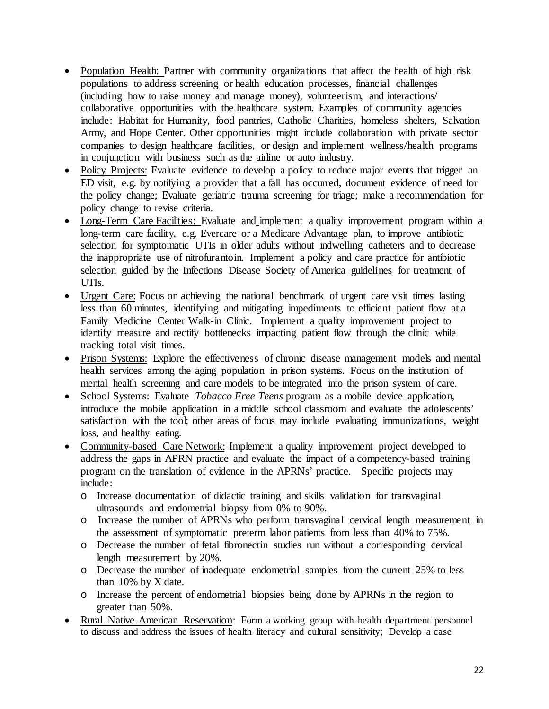- Population Health: Partner with community organizations that affect the health of high risk populations to address screening or health education processes, financial challenges (including how to raise money and manage money), volunteerism, and interactions/ collaborative opportunities with the healthcare system. Examples of community agencies include: Habitat for Humanity, food pantries, Catholic Charities, homeless shelters, Salvation Army, and Hope Center. Other opportunities might include collaboration with private sector companies to design healthcare facilities, or design and implement wellness/health programs in conjunction with business such as the airline or auto industry.
- Policy Projects: Evaluate evidence to develop a policy to reduce major events that trigger an ED visit, e.g. by notifying a provider that a fall has occurred, document evidence of need for the policy change; Evaluate geriatric trauma screening for triage; make a recommendation for policy change to revise criteria.
- Long-Term Care Facilities: Evaluate and implement a quality improvement program within a long-term care facility, e.g. Evercare or a Medicare Advantage plan, to improve antibiotic selection for symptomatic UTIs in older adults without indwelling catheters and to decrease the inappropriate use of nitrofurantoin. Implement a policy and care practice for antibiotic selection guided by the Infections Disease Society of America guidelines for treatment of UTIs.
- Urgent Care: Focus on achieving the national benchmark of urgent care visit times lasting less than 60 minutes, identifying and mitigating impediments to efficient patient flow at a Family Medicine Center Walk-in Clinic. Implement a quality improvement project to identify measure and rectify bottlenecks impacting patient flow through the clinic while tracking total visit times.
- Prison Systems: Explore the effectiveness of chronic disease management models and mental health services among the aging population in prison systems. Focus on the institution of mental health screening and care models to be integrated into the prison system of care.
- School Systems: Evaluate *Tobacco Free Teens* program as a mobile device application, introduce the mobile application in a middle school classroom and evaluate the adolescents' satisfaction with the tool; other areas of focus may include evaluating immunizations, weight loss, and healthy eating.
- Community-based Care Network: Implement a quality improvement project developed to address the gaps in APRN practice and evaluate the impact of a competency-based training program on the translation of evidence in the APRNs' practice. Specific projects may include:
	- o Increase documentation of didactic training and skills validation for transvaginal ultrasounds and endometrial biopsy from  $\overline{0\%}$  to 90%.
	- o Increase the number of APRNs who perform transvaginal cervical length measurement in the assessment of symptomatic preterm labor patients from less than 40% to 75%.
	- o Decrease the number of fetal fibronectin studies run without a corresponding cervical length measurement by 20%.
	- o Decrease the number of inadequate endometrial samples from the current 25% to less than 10% by X date.
	- o Increase the percent of endometrial biopsies being done by APRNs in the region to greater than 50%.
- Rural Native American Reservation: Form a working group with health department personnel to discuss and address the issues of health literacy and cultural sensitivity; Develop a case